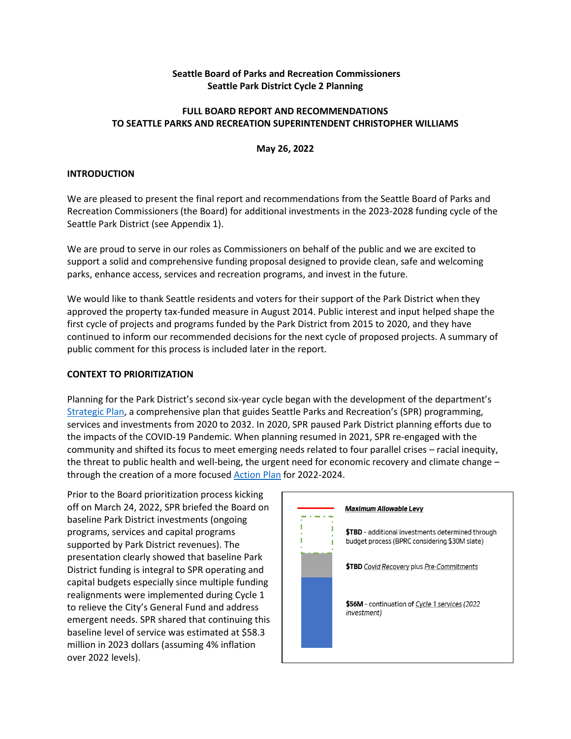## **Seattle Board of Parks and Recreation Commissioners Seattle Park District Cycle 2 Planning**

## **FULL BOARD REPORT AND RECOMMENDATIONS TO SEATTLE PARKS AND RECREATION SUPERINTENDENT CHRISTOPHER WILLIAMS**

#### **May 26, 2022**

#### **INTRODUCTION**

We are pleased to present the final report and recommendations from the Seattle Board of Parks and Recreation Commissioners (the Board) for additional investments in the 2023-2028 funding cycle of the Seattle Park District (see Appendix 1).

We are proud to serve in our roles as Commissioners on behalf of the public and we are excited to support a solid and comprehensive funding proposal designed to provide clean, safe and welcoming parks, enhance access, services and recreation programs, and invest in the future.

We would like to thank Seattle residents and voters for their support of the Park District when they approved the property tax-funded measure in August 2014. Public interest and input helped shape the first cycle of projects and programs funded by the Park District from 2015 to 2020, and they have continued to inform our recommended decisions for the next cycle of proposed projects. A summary of public comment for this process is included later in the report.

#### **CONTEXT TO PRIORITIZATION**

Planning for the Park District's second six-year cycle began with the development of the department's [Strategic Plan,](https://www.seattle.gov/Documents/Departments/ParksAndRecreation/PoliciesPlanning/SPR_Strategic_Plan.03.27.2020.pdf) a comprehensive plan that guides Seattle Parks and Recreation's (SPR) programming, services and investments from 2020 to 2032. In 2020, SPR paused Park District planning efforts due to the impacts of the COVID-19 Pandemic. When planning resumed in 2021, SPR re-engaged with the community and shifted its focus to meet emerging needs related to four parallel crises – racial inequity, the threat to public health and well-being, the urgent need for economic recovery and climate change – through the creation of a more focuse[d Action Plan](https://parkways.seattle.gov/2022/04/21/read-our-2022-2024-action-plan/) for 2022-2024.

Prior to the Board prioritization process kicking off on March 24, 2022, SPR briefed the Board on baseline Park District investments (ongoing programs, services and capital programs supported by Park District revenues). The presentation clearly showed that baseline Park District funding is integral to SPR operating and capital budgets especially since multiple funding realignments were implemented during Cycle 1 to relieve the City's General Fund and address emergent needs. SPR shared that continuing this baseline level of service was estimated at \$58.3 million in 2023 dollars (assuming 4% inflation over 2022 levels).

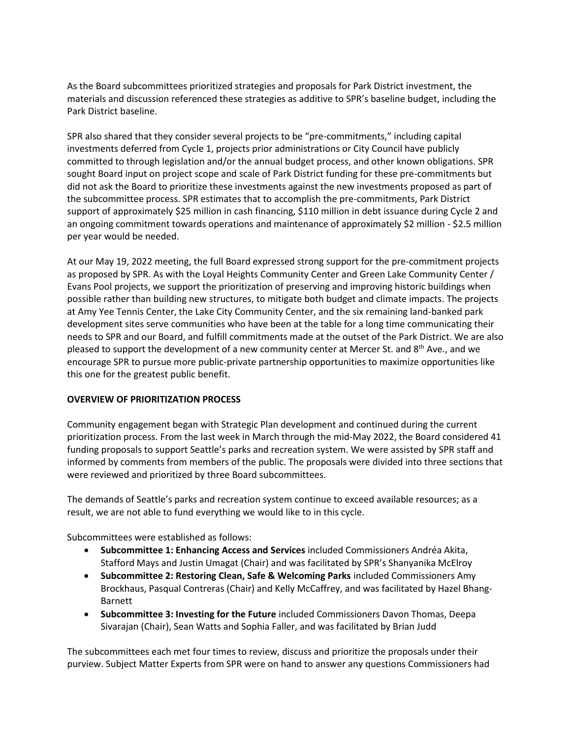As the Board subcommittees prioritized strategies and proposals for Park District investment, the materials and discussion referenced these strategies as additive to SPR's baseline budget, including the Park District baseline.

SPR also shared that they consider several projects to be "pre-commitments," including capital investments deferred from Cycle 1, projects prior administrations or City Council have publicly committed to through legislation and/or the annual budget process, and other known obligations. SPR sought Board input on project scope and scale of Park District funding for these pre-commitments but did not ask the Board to prioritize these investments against the new investments proposed as part of the subcommittee process. SPR estimates that to accomplish the pre-commitments, Park District support of approximately \$25 million in cash financing, \$110 million in debt issuance during Cycle 2 and an ongoing commitment towards operations and maintenance of approximately \$2 million - \$2.5 million per year would be needed.

At our May 19, 2022 meeting, the full Board expressed strong support for the pre-commitment projects as proposed by SPR. As with the Loyal Heights Community Center and Green Lake Community Center / Evans Pool projects, we support the prioritization of preserving and improving historic buildings when possible rather than building new structures, to mitigate both budget and climate impacts. The projects at Amy Yee Tennis Center, the Lake City Community Center, and the six remaining land-banked park development sites serve communities who have been at the table for a long time communicating their needs to SPR and our Board, and fulfill commitments made at the outset of the Park District. We are also pleased to support the development of a new community center at Mercer St. and  $8<sup>th</sup>$  Ave., and we encourage SPR to pursue more public-private partnership opportunities to maximize opportunities like this one for the greatest public benefit.

### **OVERVIEW OF PRIORITIZATION PROCESS**

Community engagement began with Strategic Plan development and continued during the current prioritization process. From the last week in March through the mid-May 2022, the Board considered 41 funding proposals to support Seattle's parks and recreation system. We were assisted by SPR staff and informed by comments from members of the public. The proposals were divided into three sections that were reviewed and prioritized by three Board subcommittees.

The demands of Seattle's parks and recreation system continue to exceed available resources; as a result, we are not able to fund everything we would like to in this cycle.

Subcommittees were established as follows:

- **Subcommittee 1: Enhancing Access and Services** included Commissioners Andréa Akita, Stafford Mays and Justin Umagat (Chair) and was facilitated by SPR's Shanyanika McElroy
- **Subcommittee 2: Restoring Clean, Safe & Welcoming Parks** included Commissioners Amy Brockhaus, Pasqual Contreras (Chair) and Kelly McCaffrey, and was facilitated by Hazel Bhang-Barnett
- **Subcommittee 3: Investing for the Future** included Commissioners Davon Thomas, Deepa Sivarajan (Chair), Sean Watts and Sophia Faller, and was facilitated by Brian Judd

The subcommittees each met four times to review, discuss and prioritize the proposals under their purview. Subject Matter Experts from SPR were on hand to answer any questions Commissioners had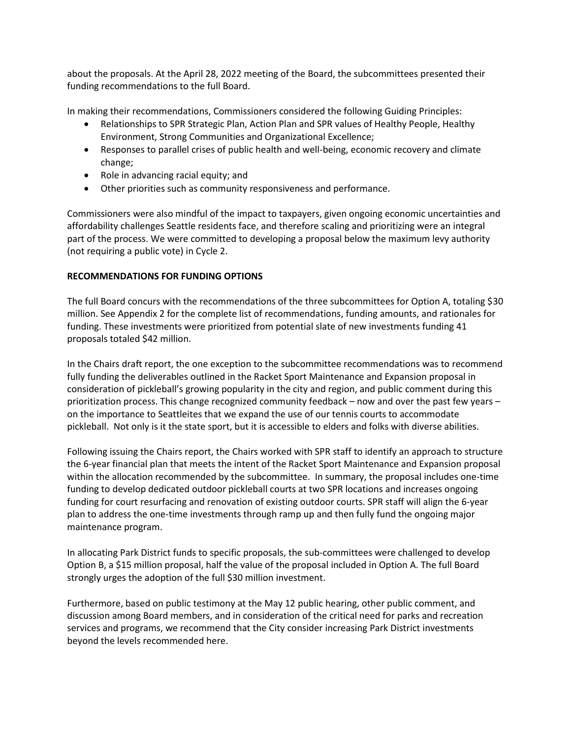about the proposals. At the April 28, 2022 meeting of the Board, the subcommittees presented their funding recommendations to the full Board.

In making their recommendations, Commissioners considered the following Guiding Principles:

- Relationships to SPR Strategic Plan, Action Plan and SPR values of Healthy People, Healthy Environment, Strong Communities and Organizational Excellence;
- Responses to parallel crises of public health and well-being, economic recovery and climate change;
- Role in advancing racial equity; and
- Other priorities such as community responsiveness and performance.

Commissioners were also mindful of the impact to taxpayers, given ongoing economic uncertainties and affordability challenges Seattle residents face, and therefore scaling and prioritizing were an integral part of the process. We were committed to developing a proposal below the maximum levy authority (not requiring a public vote) in Cycle 2.

# **RECOMMENDATIONS FOR FUNDING OPTIONS**

The full Board concurs with the recommendations of the three subcommittees for Option A, totaling \$30 million. See Appendix 2 for the complete list of recommendations, funding amounts, and rationales for funding. These investments were prioritized from potential slate of new investments funding 41 proposals totaled \$42 million.

In the Chairs draft report, the one exception to the subcommittee recommendations was to recommend fully funding the deliverables outlined in the Racket Sport Maintenance and Expansion proposal in consideration of pickleball's growing popularity in the city and region, and public comment during this prioritization process. This change recognized community feedback – now and over the past few years – on the importance to Seattleites that we expand the use of our tennis courts to accommodate pickleball. Not only is it the state sport, but it is accessible to elders and folks with diverse abilities.

Following issuing the Chairs report, the Chairs worked with SPR staff to identify an approach to structure the 6-year financial plan that meets the intent of the Racket Sport Maintenance and Expansion proposal within the allocation recommended by the subcommittee. In summary, the proposal includes one-time funding to develop dedicated outdoor pickleball courts at two SPR locations and increases ongoing funding for court resurfacing and renovation of existing outdoor courts. SPR staff will align the 6-year plan to address the one-time investments through ramp up and then fully fund the ongoing major maintenance program.

In allocating Park District funds to specific proposals, the sub-committees were challenged to develop Option B, a \$15 million proposal, half the value of the proposal included in Option A. The full Board strongly urges the adoption of the full \$30 million investment.

Furthermore, based on public testimony at the May 12 public hearing, other public comment, and discussion among Board members, and in consideration of the critical need for parks and recreation services and programs, we recommend that the City consider increasing Park District investments beyond the levels recommended here.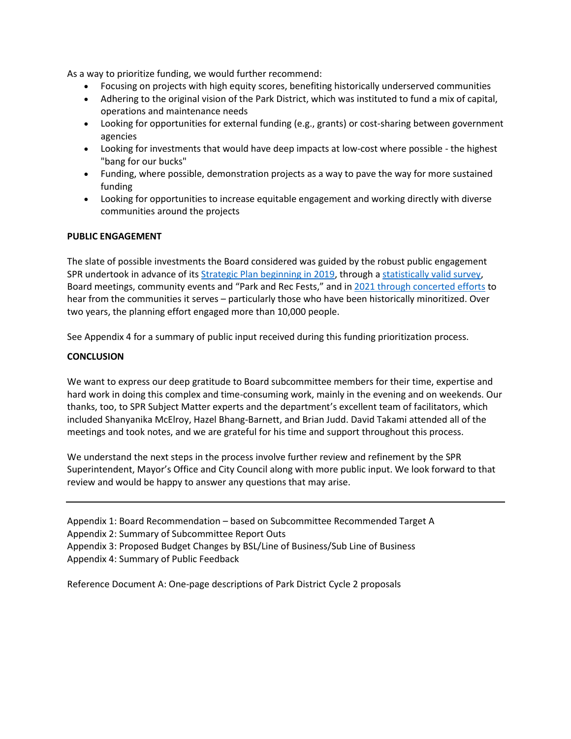As a way to prioritize funding, we would further recommend:

- Focusing on projects with high equity scores, benefiting historically underserved communities
- Adhering to the original vision of the Park District, which was instituted to fund a mix of capital, operations and maintenance needs
- Looking for opportunities for external funding (e.g., grants) or cost-sharing between government agencies
- Looking for investments that would have deep impacts at low-cost where possible the highest "bang for our bucks"
- Funding, where possible, demonstration projects as a way to pave the way for more sustained funding
- Looking for opportunities to increase equitable engagement and working directly with diverse communities around the projects

#### **PUBLIC ENGAGEMENT**

The slate of possible investments the Board considered was guided by the robust public engagement SPR undertook in advance of its Strategic Plan [beginning in 2019,](https://www.seattle.gov/parks/about-us/policies-and-plans/seattle-parks-and-recreation-strategic-plan) through a [statistically valid survey,](https://www.seattle.gov/documents/Departments/ParksAndRecreation/BRPC/2021%20Statistically%20Valid%20Survey%20Results.pdf) Board meetings, community events and "Park and Rec Fests," and in [2021 through concerted efforts](https://www.seattle.gov/documents/Departments/ParksAndRecreation/BRPC/2022-2024%20Action%20Plan%20Engagement%20Summary.pdf) to hear from the communities it serves – particularly those who have been historically minoritized. Over two years, the planning effort engaged more than 10,000 people.

See Appendix 4 for a summary of public input received during this funding prioritization process.

#### **CONCLUSION**

We want to express our deep gratitude to Board subcommittee members for their time, expertise and hard work in doing this complex and time-consuming work, mainly in the evening and on weekends. Our thanks, too, to SPR Subject Matter experts and the department's excellent team of facilitators, which included Shanyanika McElroy, Hazel Bhang-Barnett, and Brian Judd. David Takami attended all of the meetings and took notes, and we are grateful for his time and support throughout this process.

We understand the next steps in the process involve further review and refinement by the SPR Superintendent, Mayor's Office and City Council along with more public input. We look forward to that review and would be happy to answer any questions that may arise.

Appendix 1: Board Recommendation – based on Subcommittee Recommended Target A Appendix 2: Summary of Subcommittee Report Outs Appendix 3: Proposed Budget Changes by BSL/Line of Business/Sub Line of Business Appendix 4: Summary of Public Feedback

Reference Document A: One-page descriptions of Park District Cycle 2 proposals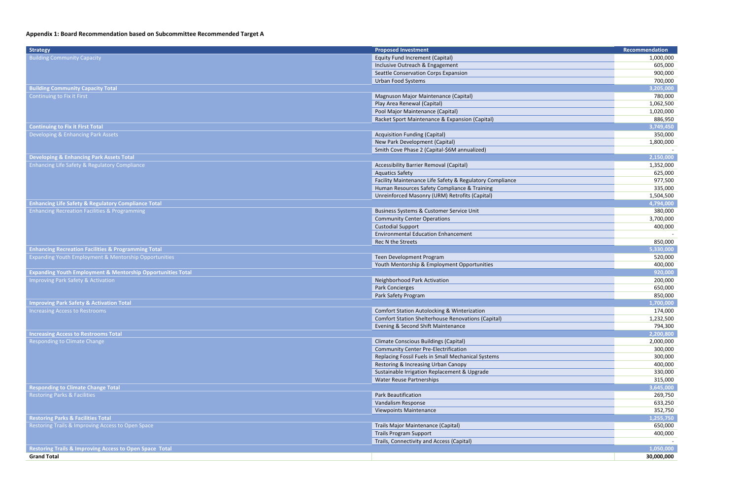# **Appendix 1: Board Recommendation based on Subcommittee Recommended Target A**

| <b>Strategy</b>                                                        | <b>Proposed Investment</b>                                | Recommendation |
|------------------------------------------------------------------------|-----------------------------------------------------------|----------------|
| <b>Building Community Capacity</b>                                     | <b>Equity Fund Increment (Capital)</b>                    | 1,000,000      |
|                                                                        | Inclusive Outreach & Engagement                           | 605,000        |
|                                                                        | Seattle Conservation Corps Expansion                      | 900,000        |
|                                                                        | Urban Food Systems                                        | 700,000        |
| <b>Building Community Capacity Total</b>                               |                                                           | 3,205,000      |
| Continuing to Fix it First                                             | Magnuson Major Maintenance (Capital)                      | 780,000        |
|                                                                        | Play Area Renewal (Capital)                               | 1,062,500      |
|                                                                        | Pool Major Maintenance (Capital)                          | 1,020,000      |
|                                                                        | Racket Sport Maintenance & Expansion (Capital)            | 886,950        |
| <b>Continuing to Fix it First Total</b>                                |                                                           | 3,749,450      |
| Developing & Enhancing Park Assets                                     | <b>Acquisition Funding (Capital)</b>                      | 350,000        |
|                                                                        | New Park Development (Capital)                            | 1,800,000      |
|                                                                        | Smith Cove Phase 2 (Capital-\$6M annualized)              |                |
| <b>Developing &amp; Enhancing Park Assets Total</b>                    |                                                           | 2,150,000      |
| Enhancing Life Safety & Regulatory Compliance                          | Accessibility Barrier Removal (Capital)                   | 1,352,000      |
|                                                                        | <b>Aquatics Safety</b>                                    | 625,000        |
|                                                                        | Facility Maintenance Life Safety & Regulatory Compliance  | 977,500        |
|                                                                        | Human Resources Safety Compliance & Training              | 335,000        |
|                                                                        | Unreinforced Masonry (URM) Retrofits (Capital)            | 1,504,500      |
| <b>Enhancing Life Safety &amp; Regulatory Compliance Total</b>         |                                                           | 4,794,000      |
| <b>Enhancing Recreation Facilities &amp; Programming</b>               | Business Systems & Customer Service Unit                  | 380,000        |
|                                                                        | <b>Community Center Operations</b>                        | 3,700,000      |
|                                                                        | <b>Custodial Support</b>                                  | 400,000        |
|                                                                        | <b>Environmental Education Enhancement</b>                | $\sim$         |
|                                                                        | Rec N the Streets                                         | 850,000        |
| <b>Enhancing Recreation Facilities &amp; Programming Total</b>         |                                                           | 5,330,000      |
| Expanding Youth Employment & Mentorship Opportunities                  | Teen Development Program                                  | 520,000        |
|                                                                        | Youth Mentorship & Employment Opportunities               | 400,000        |
| <b>Expanding Youth Employment &amp; Mentorship Opportunities Total</b> |                                                           | 920,000        |
| <b>Improving Park Safety &amp; Activation</b>                          | Neighborhood Park Activation                              | 200,000        |
|                                                                        | Park Concierges                                           | 650,000        |
|                                                                        | Park Safety Program                                       | 850,000        |
| <b>Improving Park Safety &amp; Activation Total</b>                    |                                                           | 1,700,000      |
| <b>Increasing Access to Restrooms</b>                                  | <b>Comfort Station Autolocking &amp; Winterization</b>    | 174,000        |
|                                                                        | <b>Comfort Station Shelterhouse Renovations (Capital)</b> | 1,232,500      |
|                                                                        | Evening & Second Shift Maintenance                        | 794,300        |
| <b>Increasing Access to Restrooms Total</b>                            |                                                           | 2,200,800      |
| Responding to Climate Change                                           | <b>Climate Conscious Buildings (Capital)</b>              | 2,000,000      |
|                                                                        | <b>Community Center Pre-Electrification</b>               | 300,000        |
|                                                                        | Replacing Fossil Fuels in Small Mechanical Systems        | 300,000        |
|                                                                        | Restoring & Increasing Urban Canopy                       | 400,000        |
|                                                                        | Sustainable Irrigation Replacement & Upgrade              | 330,000        |
|                                                                        | Water Reuse Partnerships                                  | 315,000        |
| <b>Responding to Climate Change Total</b>                              |                                                           | 3,645,000      |
| <b>Restoring Parks &amp; Facilities</b>                                | Park Beautification                                       | 269,750        |
|                                                                        | Vandalism Response                                        | 633,250        |
|                                                                        | <b>Viewpoints Maintenance</b>                             | 352,750        |
| <b>Restoring Parks &amp; Facilities Total</b>                          |                                                           | 1,255,750      |
| Restoring Trails & Improving Access to Open Space                      | Trails Major Maintenance (Capital)                        | 650,000        |
|                                                                        | <b>Trails Program Support</b>                             | 400,000        |
|                                                                        | Trails, Connectivity and Access (Capital)                 |                |
| <b>Restoring Trails &amp; Improving Access to Open Space Total</b>     |                                                           | 1,050,000      |
| <b>Grand Total</b>                                                     |                                                           | 30,000,000     |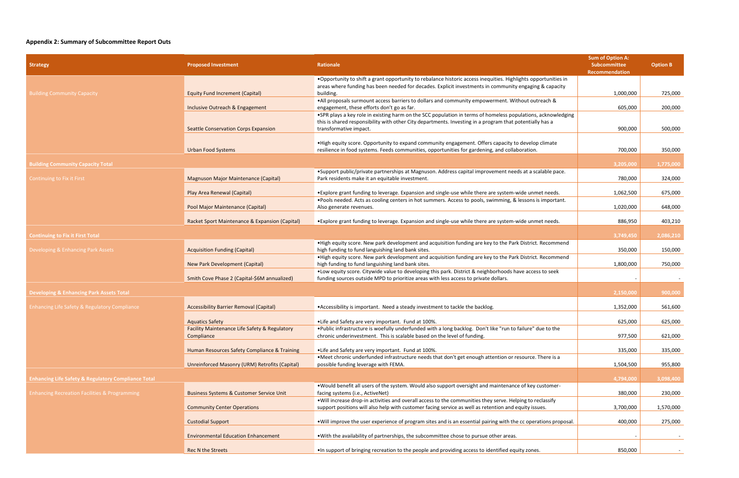# **Appendix 2: Summary of Subcommittee Report Outs**

| <b>Strategy</b>                                                | <b>Proposed Investment</b>                                  | Rationale                                                                                                                                                                               | <b>Sum of Option A:</b><br><b>Subcommittee</b><br>Recommendation | <b>Option B</b> |
|----------------------------------------------------------------|-------------------------------------------------------------|-----------------------------------------------------------------------------------------------------------------------------------------------------------------------------------------|------------------------------------------------------------------|-----------------|
|                                                                |                                                             | •Opportunity to shift a grant opportunity to rebalance historic access inequities. Highlights opportunities in                                                                          |                                                                  |                 |
|                                                                |                                                             | areas where funding has been needed for decades. Explicit investments in community engaging & capacity<br>building.                                                                     |                                                                  |                 |
| <b>Building Community Capacity</b>                             | <b>Equity Fund Increment (Capital)</b>                      | •All proposals surmount access barriers to dollars and community empowerment. Without outreach &                                                                                        | 1,000,000                                                        | 725,000         |
|                                                                | Inclusive Outreach & Engagement                             | engagement, these efforts don't go as far.                                                                                                                                              | 605,000                                                          | 200,000         |
|                                                                |                                                             | •SPR plays a key role in existing harm on the SCC population in terms of homeless populations, acknowledging                                                                            |                                                                  |                 |
|                                                                | <b>Seattle Conservation Corps Expansion</b>                 | this is shared responsibility with other City departments. Investing in a program that potentially has a<br>transformative impact.                                                      | 900,000                                                          | 500,000         |
|                                                                |                                                             |                                                                                                                                                                                         |                                                                  |                 |
|                                                                |                                                             | • High equity score. Opportunity to expand community engagement. Offers capacity to develop climate                                                                                     |                                                                  |                 |
|                                                                | <b>Urban Food Systems</b>                                   | resilience in food systems. Feeds communities, opportunities for gardening, and collaboration.                                                                                          | 700,000                                                          | 350,000         |
| <b>Building Community Capacity Total</b>                       |                                                             |                                                                                                                                                                                         | 3,205,000                                                        | 1,775,000       |
|                                                                |                                                             | •Support public/private partnerships at Magnuson. Address capital improvement needs at a scalable pace.                                                                                 |                                                                  |                 |
| Continuing to Fix it First                                     | <b>Magnuson Major Maintenance (Capital)</b>                 | Park residents make it an equitable investment.                                                                                                                                         | 780,000                                                          | 324,000         |
|                                                                | Play Area Renewal (Capital)                                 | • Explore grant funding to leverage. Expansion and single-use while there are system-wide unmet needs.                                                                                  | 1,062,500                                                        | 675,000         |
|                                                                |                                                             | • Pools needed. Acts as cooling centers in hot summers. Access to pools, swimming, & lessons is important.                                                                              |                                                                  |                 |
|                                                                | Pool Major Maintenance (Capital)                            | Also generate revenues.                                                                                                                                                                 | 1,020,000                                                        | 648,000         |
|                                                                |                                                             |                                                                                                                                                                                         | 886,950                                                          |                 |
|                                                                | Racket Sport Maintenance & Expansion (Capital)              | • Explore grant funding to leverage. Expansion and single-use while there are system-wide unmet needs.                                                                                  |                                                                  | 403,210         |
| <b>Continuing to Fix it First Total</b>                        |                                                             |                                                                                                                                                                                         | 3,749,450                                                        | 2,086,210       |
|                                                                |                                                             | • High equity score. New park development and acquisition funding are key to the Park District. Recommend                                                                               |                                                                  |                 |
| Developing & Enhancing Park Assets                             | <b>Acquisition Funding (Capital)</b>                        | high funding to fund languishing land bank sites.<br>• High equity score. New park development and acquisition funding are key to the Park District. Recommend                          | 350,000                                                          | 150,000         |
|                                                                | <b>New Park Development (Capital)</b>                       | high funding to fund languishing land bank sites.                                                                                                                                       | 1,800,000                                                        | 750,000         |
|                                                                |                                                             | • Low equity score. Citywide value to developing this park. District & neighborhoods have access to seek                                                                                |                                                                  |                 |
|                                                                | Smith Cove Phase 2 (Capital-\$6M annualized)                | funding sources outside MPD to prioritize areas with less access to private dollars.                                                                                                    |                                                                  |                 |
| <b>Developing &amp; Enhancing Park Assets Total</b>            |                                                             |                                                                                                                                                                                         | 2,150,000                                                        | 900,000         |
| Enhancing Life Safety & Regulatory Compliance                  | <b>Accessibility Barrier Removal (Capital)</b>              | • Accessibility is important. Need a steady investment to tackle the backlog.                                                                                                           | 1,352,000                                                        | 561,600         |
|                                                                |                                                             |                                                                                                                                                                                         |                                                                  |                 |
|                                                                | <b>Aquatics Safety</b>                                      | •Life and Safety are very important. Fund at 100%.                                                                                                                                      | 625,000                                                          | 625,000         |
|                                                                | Facility Maintenance Life Safety & Regulatory<br>Compliance | . Public infrastructure is woefully underfunded with a long backlog. Don't like "run to failure" due to the<br>chronic underinvestment. This is scalable based on the level of funding. | 977,500                                                          | 621,000         |
|                                                                |                                                             |                                                                                                                                                                                         |                                                                  |                 |
|                                                                | Human Resources Safety Compliance & Training                | •Life and Safety are very important. Fund at 100%.                                                                                                                                      | 335,000                                                          | 335,000         |
|                                                                | Unreinforced Masonry (URM) Retrofits (Capital)              | •Meet chronic underfunded infrastructure needs that don't get enough attention or resource. There is a<br>possible funding leverage with FEMA.                                          | 1,504,500                                                        | 955,800         |
|                                                                |                                                             |                                                                                                                                                                                         |                                                                  |                 |
| <b>Enhancing Life Safety &amp; Regulatory Compliance Total</b> |                                                             |                                                                                                                                                                                         | 4,794,000                                                        | 3,098,400       |
|                                                                |                                                             | . Would benefit all users of the system. Would also support oversight and maintenance of key customer-                                                                                  |                                                                  |                 |
| <b>Enhancing Recreation Facilities &amp; Programming</b>       | <b>Business Systems &amp; Customer Service Unit</b>         | facing systems (i.e., ActiveNet)<br>. Will increase drop-in activities and overall access to the communities they serve. Helping to reclassify                                          | 380,000                                                          | 230,000         |
|                                                                | <b>Community Center Operations</b>                          | support positions will also help with customer facing service as well as retention and equity issues.                                                                                   | 3,700,000                                                        | 1,570,000       |
|                                                                |                                                             |                                                                                                                                                                                         |                                                                  |                 |
|                                                                | <b>Custodial Support</b>                                    | . Will improve the user experience of program sites and is an essential pairing with the cc operations proposal.                                                                        | 400,000                                                          | 275,000         |
|                                                                | <b>Environmental Education Enhancement</b>                  | .With the availability of partnerships, the subcommittee chose to pursue other areas.                                                                                                   |                                                                  |                 |
|                                                                | Rec N the Streets                                           | •In support of bringing recreation to the people and providing access to identified equity zones.                                                                                       | 850,000                                                          |                 |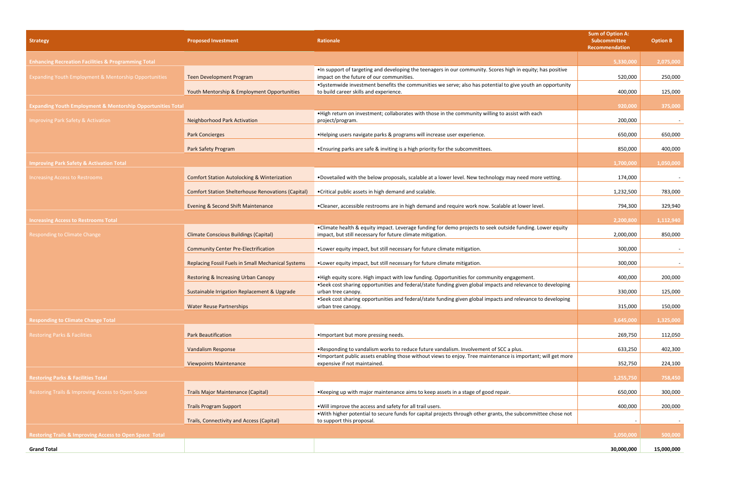| <b>Strategy</b>                                                        | <b>Proposed Investment</b>                                | <b>Rationale</b>                                                                                                                                                         | <b>Sum of Option A:</b><br>Subcommittee<br>Recommendation | <b>Option B</b>          |
|------------------------------------------------------------------------|-----------------------------------------------------------|--------------------------------------------------------------------------------------------------------------------------------------------------------------------------|-----------------------------------------------------------|--------------------------|
| <b>Enhancing Recreation Facilities &amp; Programming Total</b>         |                                                           |                                                                                                                                                                          | 5,330,000                                                 | 2,075,000                |
| Expanding Youth Employment & Mentorship Opportunities                  | <b>Teen Development Program</b>                           | . In support of targeting and developing the teenagers in our community. Scores high in equity; has positive<br>impact on the future of our communities.                 | 520,000                                                   | 250,000                  |
|                                                                        | Youth Mentorship & Employment Opportunities               | • Systemwide investment benefits the communities we serve; also has potential to give youth an opportunity<br>to build career skills and experience.                     | 400,000                                                   | 125,000                  |
| <b>Expanding Youth Employment &amp; Mentorship Opportunities Total</b> |                                                           |                                                                                                                                                                          | 920,000                                                   | 375,000                  |
| mproving Park Safety & Activation                                      | <b>Neighborhood Park Activation</b>                       | • High return on investment; collaborates with those in the community willing to assist with each<br>project/program.                                                    | 200,000                                                   | $\overline{\phantom{a}}$ |
|                                                                        | <b>Park Concierges</b>                                    | • Helping users navigate parks & programs will increase user experience.                                                                                                 | 650,000                                                   | 650,000                  |
|                                                                        | <b>Park Safety Program</b>                                | • Ensuring parks are safe & inviting is a high priority for the subcommittees.                                                                                           | 850,000                                                   | 400,000                  |
| <b>Improving Park Safety &amp; Activation Total</b>                    |                                                           |                                                                                                                                                                          | 1,700,000                                                 | 1,050,000                |
| ncreasing Access to Restrooms                                          | <b>Comfort Station Autolocking &amp; Winterization</b>    | .Dovetailed with the below proposals, scalable at a lower level. New technology may need more vetting.                                                                   | 174,000                                                   |                          |
|                                                                        | <b>Comfort Station Shelterhouse Renovations (Capital)</b> | • Critical public assets in high demand and scalable.                                                                                                                    | 1,232,500                                                 | 783,000                  |
|                                                                        | Evening & Second Shift Maintenance                        | • Cleaner, accessible restrooms are in high demand and require work now. Scalable at lower level.                                                                        | 794,300                                                   | 329,940                  |
| <b>Increasing Access to Restrooms Total</b>                            |                                                           |                                                                                                                                                                          | 2,200,800                                                 | 1,112,940                |
| <b>Responding to Climate Change</b>                                    | <b>Climate Conscious Buildings (Capital)</b>              | • Climate health & equity impact. Leverage funding for demo projects to seek outside funding. Lower equity<br>impact, but still necessary for future climate mitigation. | 2,000,000                                                 | 850,000                  |
|                                                                        | <b>Community Center Pre-Electrification</b>               | . Lower equity impact, but still necessary for future climate mitigation.                                                                                                | 300,000                                                   |                          |
|                                                                        | Replacing Fossil Fuels in Small Mechanical Systems        | . Lower equity impact, but still necessary for future climate mitigation.                                                                                                | 300,000                                                   |                          |
|                                                                        | <b>Restoring &amp; Increasing Urban Canopy</b>            | • High equity score. High impact with low funding. Opportunities for community engagement.                                                                               | 400,000                                                   | 200,000                  |
|                                                                        | Sustainable Irrigation Replacement & Upgrade              | •Seek cost sharing opportunities and federal/state funding given global impacts and relevance to developing<br>urban tree canopy.                                        | 330,000                                                   | 125,000                  |
|                                                                        | <b>Water Reuse Partnerships</b>                           | •Seek cost sharing opportunities and federal/state funding given global impacts and relevance to developing<br>urban tree canopy.                                        | 315,000                                                   | 150,000                  |
| <b>Responding to Climate Change Total</b>                              |                                                           |                                                                                                                                                                          | 3,645,000                                                 | 1,325,000                |
| <b>Restoring Parks &amp; Facilities</b>                                | <b>Park Beautification</b>                                | . Important but more pressing needs.                                                                                                                                     | 269,750                                                   | 112,050                  |
|                                                                        | <b>Vandalism Response</b>                                 | •Responding to vandalism works to reduce future vandalism. Involvement of SCC a plus.                                                                                    | 633,250                                                   | 402,300                  |
|                                                                        | <b>Viewpoints Maintenance</b>                             | . Important public assets enabling those without views to enjoy. Tree maintenance is important; will get more<br>expensive if not maintained.                            | 352,750                                                   | 224,100                  |
| <b>Restoring Parks &amp; Facilities Total</b>                          |                                                           |                                                                                                                                                                          | 1,255,750                                                 | 758,450                  |
| Restoring Trails & Improving Access to Open Space                      | <b>Trails Major Maintenance (Capital)</b>                 | • Keeping up with major maintenance aims to keep assets in a stage of good repair.                                                                                       | 650,000                                                   | 300,000                  |
|                                                                        | <b>Trails Program Support</b>                             | . Will improve the access and safety for all trail users.                                                                                                                | 400,000                                                   | 200,000                  |
|                                                                        | <b>Trails, Connectivity and Access (Capital)</b>          | . With higher potential to secure funds for capital projects through other grants, the subcommittee chose not<br>to support this proposal.                               |                                                           | $\sim$                   |
| <b>Restoring Trails &amp; Improving Access to Open Space Total</b>     |                                                           |                                                                                                                                                                          | 1,050,000                                                 | 500,000                  |
| <b>Grand Total</b>                                                     |                                                           |                                                                                                                                                                          | 30,000,000                                                | 15,000,000               |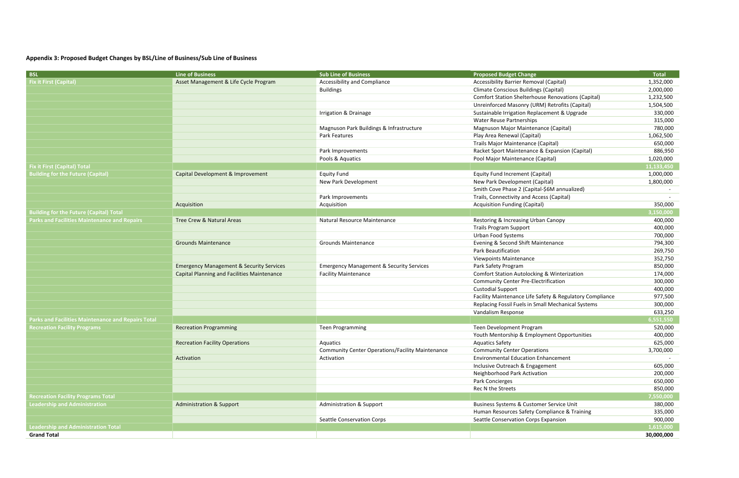# **Appendix 3: Proposed Budget Changes by BSL/Line of Business/Sub Line of Business**

| <b>BSL</b>                                         | <b>Line of Business</b>                             | <b>Sub Line of Business</b>                             | <b>Proposed Budget Change</b>                             | <b>Total</b> |
|----------------------------------------------------|-----------------------------------------------------|---------------------------------------------------------|-----------------------------------------------------------|--------------|
| <b>Fix it First (Capital)</b>                      | Asset Management & Life Cycle Program               | Accessibility and Compliance                            | Accessibility Barrier Removal (Capital)                   | 1,352,000    |
|                                                    |                                                     | <b>Buildings</b>                                        | <b>Climate Conscious Buildings (Capital)</b>              | 2,000,000    |
|                                                    |                                                     |                                                         | <b>Comfort Station Shelterhouse Renovations (Capital)</b> | 1,232,500    |
|                                                    |                                                     |                                                         | Unreinforced Masonry (URM) Retrofits (Capital)            | 1,504,500    |
|                                                    |                                                     | <b>Irrigation &amp; Drainage</b>                        | Sustainable Irrigation Replacement & Upgrade              | 330,000      |
|                                                    |                                                     |                                                         | <b>Water Reuse Partnerships</b>                           | 315,000      |
|                                                    |                                                     | Magnuson Park Buildings & Infrastructure                | Magnuson Major Maintenance (Capital)                      | 780,000      |
|                                                    |                                                     | Park Features                                           | Play Area Renewal (Capital)                               | 1,062,500    |
|                                                    |                                                     |                                                         | Trails Major Maintenance (Capital)                        | 650,000      |
|                                                    |                                                     | Park Improvements                                       | Racket Sport Maintenance & Expansion (Capital)            | 886,950      |
|                                                    |                                                     | Pools & Aquatics                                        | Pool Major Maintenance (Capital)                          | 1,020,000    |
| <b>Fix it First (Capital) Total</b>                |                                                     |                                                         |                                                           | 11,133,450   |
| <b>Building for the Future (Capital)</b>           | Capital Development & Improvement                   | <b>Equity Fund</b>                                      | Equity Fund Increment (Capital)                           | 1,000,000    |
|                                                    |                                                     | New Park Development                                    | New Park Development (Capital)                            | 1,800,000    |
|                                                    |                                                     |                                                         | Smith Cove Phase 2 (Capital-\$6M annualized)              |              |
|                                                    |                                                     | Park Improvements                                       | Trails, Connectivity and Access (Capital)                 |              |
|                                                    | Acquisition                                         | Acquisition                                             | <b>Acquisition Funding (Capital)</b>                      | 350,000      |
| <b>Building for the Future (Capital) Total</b>     |                                                     |                                                         |                                                           | 3,150,000    |
| Parks and Facilities Maintenance and Repairs       | Tree Crew & Natural Areas                           | Natural Resource Maintenance                            | Restoring & Increasing Urban Canopy                       | 400,000      |
|                                                    |                                                     |                                                         | <b>Trails Program Support</b>                             | 400,000      |
|                                                    |                                                     |                                                         | <b>Urban Food Systems</b>                                 | 700,000      |
|                                                    | <b>Grounds Maintenance</b>                          | <b>Grounds Maintenance</b>                              | Evening & Second Shift Maintenance                        | 794,300      |
|                                                    |                                                     |                                                         | Park Beautification                                       | 269,750      |
|                                                    |                                                     |                                                         | <b>Viewpoints Maintenance</b>                             | 352,750      |
|                                                    | <b>Emergency Management &amp; Security Services</b> | <b>Emergency Management &amp; Security Services</b>     | Park Safety Program                                       | 850,000      |
|                                                    | <b>Capital Planning and Facilities Maintenance</b>  | <b>Facility Maintenance</b>                             | <b>Comfort Station Autolocking &amp; Winterization</b>    | 174,000      |
|                                                    |                                                     |                                                         | <b>Community Center Pre-Electrification</b>               | 300,000      |
|                                                    |                                                     |                                                         | <b>Custodial Support</b>                                  | 400,000      |
|                                                    |                                                     |                                                         | Facility Maintenance Life Safety & Regulatory Compliance  | 977,500      |
|                                                    |                                                     |                                                         | Replacing Fossil Fuels in Small Mechanical Systems        | 300,000      |
|                                                    |                                                     |                                                         | Vandalism Response                                        | 633,250      |
| Parks and Facilities Maintenance and Repairs Total |                                                     |                                                         |                                                           | 6,551,550    |
| <b>Recreation Facility Programs</b>                | <b>Recreation Programming</b>                       | Teen Programming                                        | Teen Development Program                                  | 520,000      |
|                                                    |                                                     |                                                         | Youth Mentorship & Employment Opportunities               | 400,000      |
|                                                    | <b>Recreation Facility Operations</b>               | Aquatics                                                | <b>Aquatics Safety</b>                                    | 625,000      |
|                                                    |                                                     | <b>Community Center Operations/Facility Maintenance</b> | <b>Community Center Operations</b>                        | 3,700,000    |
|                                                    | Activation                                          | Activation                                              | <b>Environmental Education Enhancement</b>                |              |
|                                                    |                                                     |                                                         | Inclusive Outreach & Engagement                           | 605,000      |
|                                                    |                                                     |                                                         | Neighborhood Park Activation                              | 200,000      |
|                                                    |                                                     |                                                         | Park Concierges                                           | 650,000      |
|                                                    |                                                     |                                                         | Rec N the Streets                                         | 850,000      |
| <b>Recreation Facility Programs Total</b>          |                                                     |                                                         |                                                           | 7,550,000    |
| <b>Leadership and Administration</b>               | <b>Administration &amp; Support</b>                 | Administration & Support                                | Business Systems & Customer Service Unit                  | 380,000      |
|                                                    |                                                     |                                                         | Human Resources Safety Compliance & Training              | 335,000      |
|                                                    |                                                     | <b>Seattle Conservation Corps</b>                       | Seattle Conservation Corps Expansion                      | 900,000      |
| <b>Leadership and Administration Total</b>         |                                                     |                                                         |                                                           | 1,615,000    |
| <b>Grand Total</b>                                 |                                                     |                                                         |                                                           | 30,000,000   |
|                                                    |                                                     |                                                         |                                                           |              |